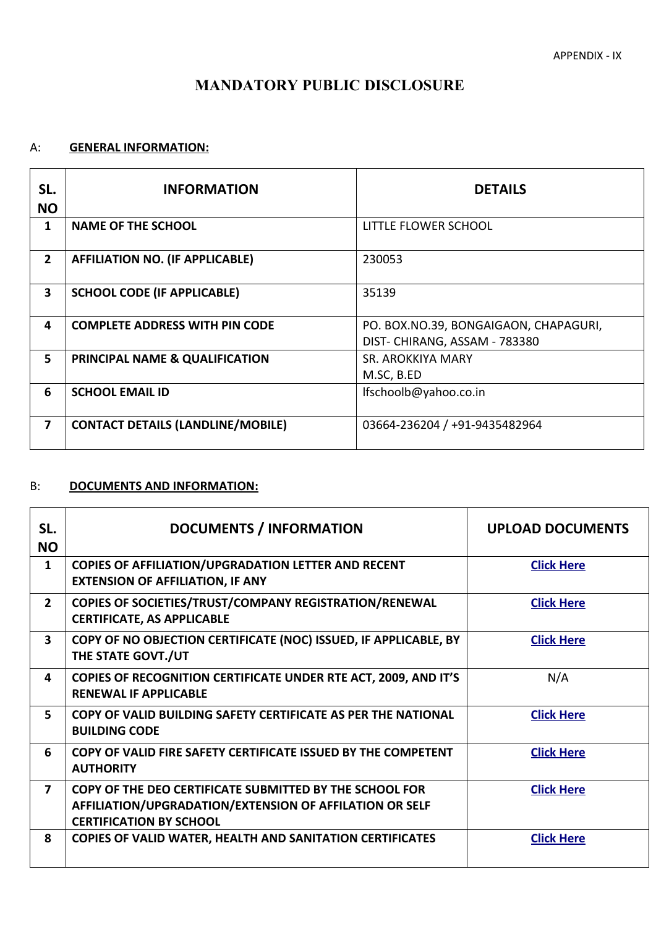# **MANDATORY PUBLIC DISCLOSURE**

## A: **GENERAL INFORMATION:**

| SL.<br><b>NO</b> | <b>INFORMATION</b>                       | <b>DETAILS</b>                                                        |
|------------------|------------------------------------------|-----------------------------------------------------------------------|
| 1                | <b>NAME OF THE SCHOOL</b>                | LITTLE FLOWER SCHOOL                                                  |
| $\overline{2}$   | <b>AFFILIATION NO. (IF APPLICABLE)</b>   | 230053                                                                |
| 3                | <b>SCHOOL CODE (IF APPLICABLE)</b>       | 35139                                                                 |
| 4                | <b>COMPLETE ADDRESS WITH PIN CODE</b>    | PO. BOX.NO.39, BONGAIGAON, CHAPAGURI,<br>DIST-CHIRANG, ASSAM - 783380 |
| 5                | PRINCIPAL NAME & QUALIFICATION           | SR. AROKKIYA MARY<br>M.SC, B.ED                                       |
| 6                | <b>SCHOOL EMAIL ID</b>                   | lfschoolb@yahoo.co.in                                                 |
| $\overline{7}$   | <b>CONTACT DETAILS (LANDLINE/MOBILE)</b> | 03664-236204 / +91-9435482964                                         |

#### B: **DOCUMENTS AND INFORMATION:**

| SL.<br><b>NO</b>        | <b>DOCUMENTS / INFORMATION</b>                                                                                                                       | <b>UPLOAD DOCUMENTS</b> |
|-------------------------|------------------------------------------------------------------------------------------------------------------------------------------------------|-------------------------|
| 1                       | <b>COPIES OF AFFILIATION/UPGRADATION LETTER AND RECENT</b><br><b>EXTENSION OF AFFILIATION, IF ANY</b>                                                | <b>Click Here</b>       |
| $\overline{2}$          | <b>COPIES OF SOCIETIES/TRUST/COMPANY REGISTRATION/RENEWAL</b><br><b>CERTIFICATE, AS APPLICABLE</b>                                                   | <b>Click Here</b>       |
| $\overline{\mathbf{3}}$ | COPY OF NO OBJECTION CERTIFICATE (NOC) ISSUED, IF APPLICABLE, BY<br>THE STATE GOVT./UT                                                               | <b>Click Here</b>       |
| 4                       | COPIES OF RECOGNITION CERTIFICATE UNDER RTE ACT, 2009, AND IT'S<br><b>RENEWAL IF APPLICABLE</b>                                                      | N/A                     |
| 5                       | COPY OF VALID BUILDING SAFETY CERTIFICATE AS PER THE NATIONAL<br><b>BUILDING CODE</b>                                                                | <b>Click Here</b>       |
| 6                       | COPY OF VALID FIRE SAFETY CERTIFICATE ISSUED BY THE COMPETENT<br><b>AUTHORITY</b>                                                                    | <b>Click Here</b>       |
| $\overline{\mathbf{z}}$ | COPY OF THE DEO CERTIFICATE SUBMITTED BY THE SCHOOL FOR<br>AFFILIATION/UPGRADATION/EXTENSION OF AFFILATION OR SELF<br><b>CERTIFICATION BY SCHOOL</b> | <b>Click Here</b>       |
| 8                       | <b>COPIES OF VALID WATER, HEALTH AND SANITATION CERTIFICATES</b>                                                                                     | <b>Click Here</b>       |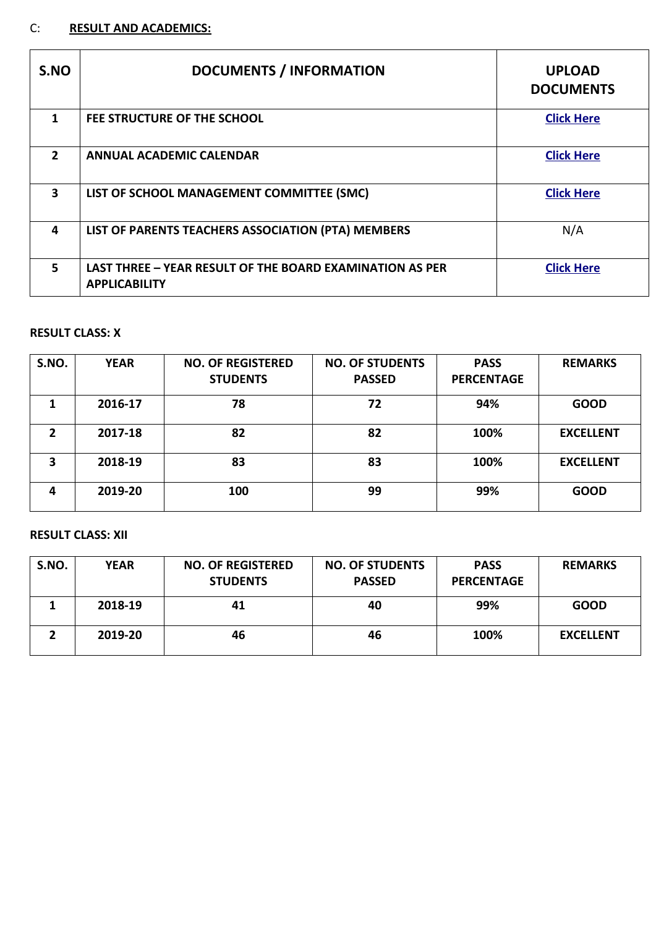# C: **RESULT AND ACADEMICS:**

| S.NO         | <b>DOCUMENTS / INFORMATION</b>                                                          | <b>UPLOAD</b><br><b>DOCUMENTS</b> |
|--------------|-----------------------------------------------------------------------------------------|-----------------------------------|
| 1            | FEE STRUCTURE OF THE SCHOOL                                                             | <b>Click Here</b>                 |
| $\mathbf{2}$ | <b>ANNUAL ACADEMIC CALENDAR</b>                                                         | <b>Click Here</b>                 |
| 3            | LIST OF SCHOOL MANAGEMENT COMMITTEE (SMC)                                               | <b>Click Here</b>                 |
| 4            | LIST OF PARENTS TEACHERS ASSOCIATION (PTA) MEMBERS                                      | N/A                               |
| 5            | <b>LAST THREE - YEAR RESULT OF THE BOARD EXAMINATION AS PER</b><br><b>APPLICABILITY</b> | <b>Click Here</b>                 |

## **RESULT CLASS: X**

| S.NO.          | <b>YEAR</b> | <b>NO. OF REGISTERED</b><br><b>STUDENTS</b> | <b>NO. OF STUDENTS</b><br><b>PASSED</b> | <b>PASS</b><br><b>PERCENTAGE</b> | <b>REMARKS</b>   |
|----------------|-------------|---------------------------------------------|-----------------------------------------|----------------------------------|------------------|
|                | 2016-17     | 78                                          | 72                                      | 94%                              | <b>GOOD</b>      |
| $\overline{2}$ | 2017-18     | 82                                          | 82                                      | 100%                             | <b>EXCELLENT</b> |
| 3              | 2018-19     | 83                                          | 83                                      | 100%                             | <b>EXCELLENT</b> |
| 4              | 2019-20     | 100                                         | 99                                      | 99%                              | <b>GOOD</b>      |

## **RESULT CLASS: XII**

| S.NO. | <b>YEAR</b> | <b>NO. OF REGISTERED</b><br><b>STUDENTS</b> | <b>NO. OF STUDENTS</b><br><b>PASSED</b> | <b>PASS</b><br><b>PERCENTAGE</b> | <b>REMARKS</b>   |
|-------|-------------|---------------------------------------------|-----------------------------------------|----------------------------------|------------------|
|       | 2018-19     | 41                                          | 40                                      | 99%                              | <b>GOOD</b>      |
|       | 2019-20     | 46                                          | 46                                      | 100%                             | <b>EXCELLENT</b> |